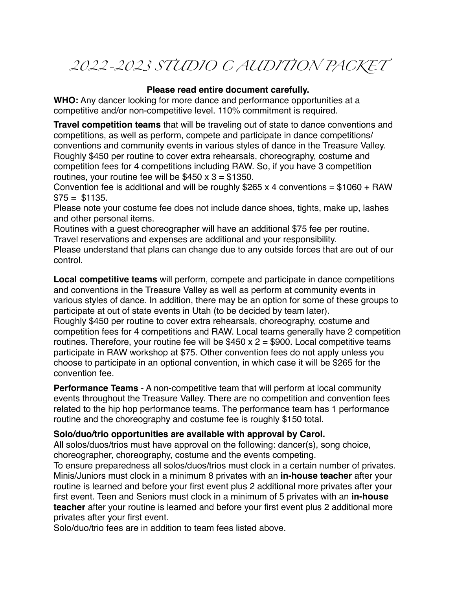## *2022-2023 STUDIO C AUDITION PACKET*

### **Please read entire document carefully.**

**WHO:** Any dancer looking for more dance and performance opportunities at a competitive and/or non-competitive level. 110% commitment is required.

**Travel competition teams** that will be traveling out of state to dance conventions and competitions, as well as perform, compete and participate in dance competitions/ conventions and community events in various styles of dance in the Treasure Valley. Roughly \$450 per routine to cover extra rehearsals, choreography, costume and competition fees for 4 competitions including RAW. So, if you have 3 competition routines, your routine fee will be  $$450 \times 3 = $1350$ .

Convention fee is additional and will be roughly  $$265 x 4$  conventions =  $$1060 + RAW$  $$75 = $1135.$ 

Please note your costume fee does not include dance shoes, tights, make up, lashes and other personal items.

Routines with a guest choreographer will have an additional \$75 fee per routine. Travel reservations and expenses are additional and your responsibility.

Please understand that plans can change due to any outside forces that are out of our control.

**Local competitive teams** will perform, compete and participate in dance competitions and conventions in the Treasure Valley as well as perform at community events in various styles of dance. In addition, there may be an option for some of these groups to participate at out of state events in Utah (to be decided by team later).

Roughly \$450 per routine to cover extra rehearsals, choreography, costume and competition fees for 4 competitions and RAW. Local teams generally have 2 competition routines. Therefore, your routine fee will be  $$450 \times 2 = $900$ . Local competitive teams participate in RAW workshop at \$75. Other convention fees do not apply unless you choose to participate in an optional convention, in which case it will be \$265 for the convention fee.

**Performance Teams** - A non-competitive team that will perform at local community events throughout the Treasure Valley. There are no competition and convention fees related to the hip hop performance teams. The performance team has 1 performance routine and the choreography and costume fee is roughly \$150 total.

### **Solo/duo/trio opportunities are available with approval by Carol.**

All solos/duos/trios must have approval on the following: dancer(s), song choice, choreographer, choreography, costume and the events competing.

To ensure preparedness all solos/duos/trios must clock in a certain number of privates. Minis/Juniors must clock in a minimum 8 privates with an **in-house teacher** after your routine is learned and before your first event plus 2 additional more privates after your first event. Teen and Seniors must clock in a minimum of 5 privates with an **in-house teacher** after your routine is learned and before your first event plus 2 additional more privates after your first event.

Solo/duo/trio fees are in addition to team fees listed above.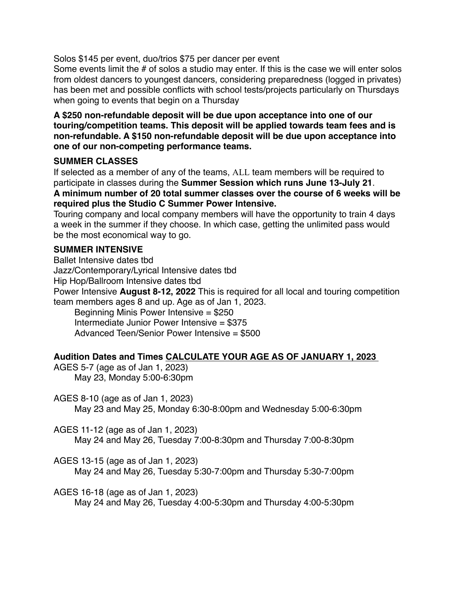Solos \$145 per event, duo/trios \$75 per dancer per event

Some events limit the # of solos a studio may enter. If this is the case we will enter solos from oldest dancers to youngest dancers, considering preparedness (logged in privates) has been met and possible conflicts with school tests/projects particularly on Thursdays when going to events that begin on a Thursday

**A \$250 non-refundable deposit will be due upon acceptance into one of our touring/competition teams. This deposit will be applied towards team fees and is non-refundable. A \$150 non-refundable deposit will be due upon acceptance into one of our non-competing performance teams.**

### **SUMMER CLASSES**

If selected as a member of any of the teams, ALL team members will be required to participate in classes during the **Summer Session which runs June 13-July 21**. **A minimum number of 20 total summer classes over the course of 6 weeks will be required plus the Studio C Summer Power Intensive.**

Touring company and local company members will have the opportunity to train 4 days a week in the summer if they choose. In which case, getting the unlimited pass would be the most economical way to go.

### **SUMMER INTENSIVE**

Ballet Intensive dates tbd Jazz/Contemporary/Lyrical Intensive dates tbd Hip Hop/Ballroom Intensive dates tbd Power Intensive **August 8-12, 2022** This is required for all local and touring competition team members ages 8 and up. Age as of Jan 1, 2023. Beginning Minis Power Intensive = \$250 Intermediate Junior Power Intensive = \$375 Advanced Teen/Senior Power Intensive = \$500

### **Audition Dates and Times CALCULATE YOUR AGE AS OF JANUARY 1, 2023**

AGES 5-7 (age as of Jan 1, 2023) May 23, Monday 5:00-6:30pm

AGES 8-10 (age as of Jan 1, 2023)

May 23 and May 25, Monday 6:30-8:00pm and Wednesday 5:00-6:30pm

AGES 11-12 (age as of Jan 1, 2023)

May 24 and May 26, Tuesday 7:00-8:30pm and Thursday 7:00-8:30pm

AGES 13-15 (age as of Jan 1, 2023)

May 24 and May 26, Tuesday 5:30-7:00pm and Thursday 5:30-7:00pm

AGES 16-18 (age as of Jan 1, 2023)

May 24 and May 26, Tuesday 4:00-5:30pm and Thursday 4:00-5:30pm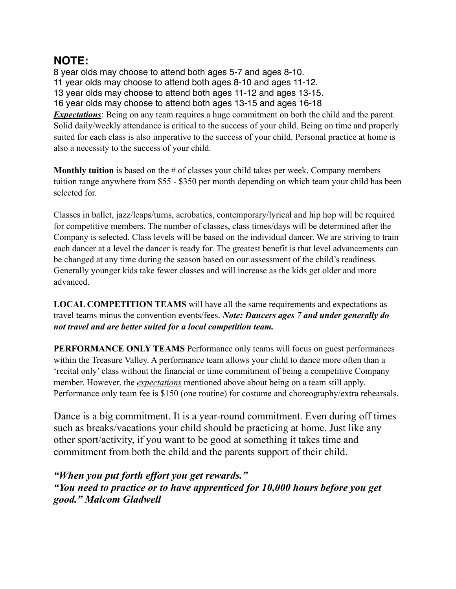## **NOTE:**

8 year olds may choose to attend both ages 5-7 and ages 8-10. 11 year olds may choose to attend both ages 8-10 and ages 11-12. 13 year olds may choose to attend both ages 11-12 and ages 13-15. 16 year olds may choose to attend both ages 13-15 and ages 16-18 *Expectations*: Being on any team requires a huge commitment on both the child and the parent. Solid daily/weekly attendance is critical to the success of your child. Being on time and properly suited for each class is also imperative to the success of your child. Personal practice at home is also a necessity to the success of your child.

**Monthly tuition** is based on the # of classes your child takes per week. Company members tuition range anywhere from \$55 - \$350 per month depending on which team your child has been selected for.

Classes in ballet, jazz/leaps/turns, acrobatics, contemporary/lyrical and hip hop will be required for competitive members. The number of classes, class times/days will be determined after the Company is selected. Class levels will be based on the individual dancer. We are striving to train each dancer at a level the dancer is ready for. The greatest benefit is that level advancements can be changed at any time during the season based on our assessment of the child's readiness. Generally younger kids take fewer classes and will increase as the kids get older and more advanced.

**LOCAL COMPETITION TEAMS** will have all the same requirements and expectations as travel teams minus the convention events/fees. *Note: Dancers ages 7 and under generally do not travel and are better suited for a local competition team.*

**PERFORMANCE ONLY TEAMS** Performance only teams will focus on guest performances within the Treasure Valley. A performance team allows your child to dance more often than a 'recital only' class without the financial or time commitment of being a competitive Company member. However, the *expectations* mentioned above about being on a team still apply. Performance only team fee is \$150 (one routine) for costume and choreography/extra rehearsals.

Dance is a big commitment. It is a year-round commitment. Even during off times such as breaks/vacations your child should be practicing at home. Just like any other sport/activity, if you want to be good at something it takes time and commitment from both the child and the parents support of their child.

*"When you put forth effort you get rewards." "You need to practice or to have apprenticed for 10,000 hours before you get good." Malcom Gladwell*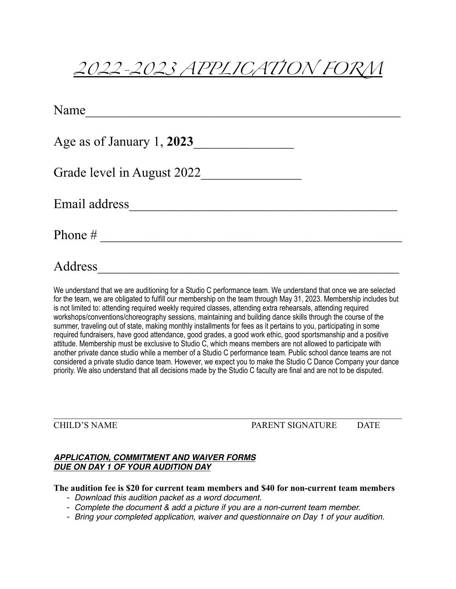# *2022-2023 APPLICATION FORM*

| Name                       |  |
|----------------------------|--|
| Age as of January 1, 2023  |  |
| Grade level in August 2022 |  |
| Email address              |  |
| Phone #                    |  |
| Address                    |  |

We understand that we are auditioning for a Studio C performance team. We understand that once we are selected for the team, we are obligated to fulfill our membership on the team through May 31, 2023. Membership includes but is not limited to: attending required weekly required classes, attending extra rehearsals, attending required workshops/conventions/choreography sessions, maintaining and building dance skills through the course of the summer, traveling out of state, making monthly installments for fees as it pertains to you, participating in some required fundraisers, have good attendance, good grades, a good work ethic, good sportsmanship and a positive attitude. Membership must be exclusive to Studio C, which means members are not allowed to participate with another private dance studio while a member of a Studio C performance team. Public school dance teams are not considered a private studio dance team. However, we expect you to make the Studio C Dance Company your dance priority. We also understand that all decisions made by the Studio C faculty are final and are not to be disputed.

CHILD'S NAME PARENT SIGNATURE DATE

#### *APPLICATION, COMMITMENT AND WAIVER FORMS DUE ON DAY 1 OF YOUR AUDITION DAY*

### **The audition fee is \$20 for current team members and \$40 for non-current team members**

 $\mathcal{L}_\mathcal{L} = \mathcal{L}_\mathcal{L} = \mathcal{L}_\mathcal{L} = \mathcal{L}_\mathcal{L} = \mathcal{L}_\mathcal{L} = \mathcal{L}_\mathcal{L} = \mathcal{L}_\mathcal{L} = \mathcal{L}_\mathcal{L} = \mathcal{L}_\mathcal{L} = \mathcal{L}_\mathcal{L} = \mathcal{L}_\mathcal{L} = \mathcal{L}_\mathcal{L} = \mathcal{L}_\mathcal{L} = \mathcal{L}_\mathcal{L} = \mathcal{L}_\mathcal{L} = \mathcal{L}_\mathcal{L} = \mathcal{L}_\mathcal{L}$ 

- *Download this audition packet as a word document.*
- *Complete the document & add a picture if you are a non-current team member.*
- *Bring your completed application, waiver and questionnaire on Day 1 of your audition.*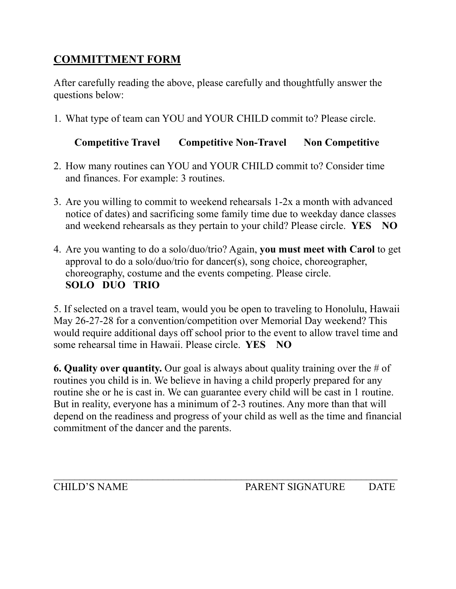## **COMMITTMENT FORM**

After carefully reading the above, please carefully and thoughtfully answer the questions below:

1. What type of team can YOU and YOUR CHILD commit to? Please circle.

### **Competitive Travel Competitive Non-Travel Non Competitive**

- 2. How many routines can YOU and YOUR CHILD commit to? Consider time and finances. For example: 3 routines.
- 3. Are you willing to commit to weekend rehearsals 1-2x a month with advanced notice of dates) and sacrificing some family time due to weekday dance classes and weekend rehearsals as they pertain to your child? Please circle. **YES NO**
- 4. Are you wanting to do a solo/duo/trio? Again, **you must meet with Carol** to get approval to do a solo/duo/trio for dancer(s), song choice, choreographer, choreography, costume and the events competing. Please circle. **SOLO DUO TRIO**

5. If selected on a travel team, would you be open to traveling to Honolulu, Hawaii May 26-27-28 for a convention/competition over Memorial Day weekend? This would require additional days off school prior to the event to allow travel time and some rehearsal time in Hawaii. Please circle. **YES NO** 

**6. Quality over quantity.** Our goal is always about quality training over the # of routines you child is in. We believe in having a child properly prepared for any routine she or he is cast in. We can guarantee every child will be cast in 1 routine. But in reality, everyone has a minimum of 2-3 routines. Any more than that will depend on the readiness and progress of your child as well as the time and financial commitment of the dancer and the parents.

 $\mathcal{L}_\text{max} = \mathcal{L}_\text{max} = \mathcal{L}_\text{max} = \mathcal{L}_\text{max} = \mathcal{L}_\text{max} = \mathcal{L}_\text{max} = \mathcal{L}_\text{max} = \mathcal{L}_\text{max} = \mathcal{L}_\text{max} = \mathcal{L}_\text{max} = \mathcal{L}_\text{max} = \mathcal{L}_\text{max} = \mathcal{L}_\text{max} = \mathcal{L}_\text{max} = \mathcal{L}_\text{max} = \mathcal{L}_\text{max} = \mathcal{L}_\text{max} = \mathcal{L}_\text{max} = \mathcal{$